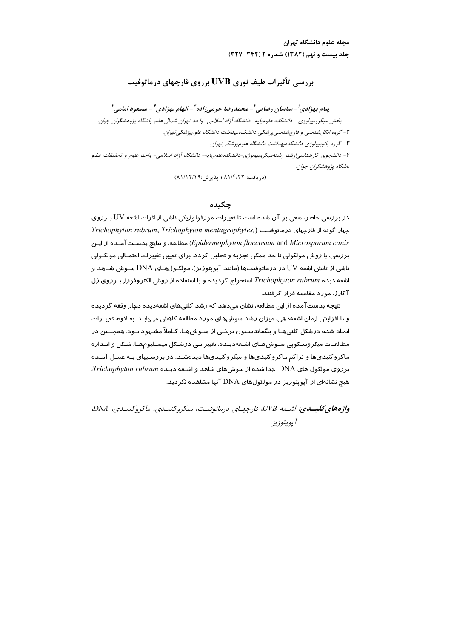مجله علوم دانشگاه تهران جلد بیست و نهم (۱۳۸۲) شماره ۲ (۳۴۲-۳۲۷)

# بررسی تأثیرات طیف نوری UVB برروی قارچهای درماتوفیت

پيام بهزادي'- ساسان رضايي'- محمدرضا خرميiاده''- الهام بهزادي' - مسعود امامي' ا - بخش ، میکروبیولوژی - دانشکده علومیایه- دانشگاه آزاد اسلامی- واحد تهران شمال عضو باشگاه پژوهشگران جوان. ۲- گروه انگل شناسی و قارچشناسی پزشکی دانشکده بهداشت دانشگاه علوم پزشکی تهران. ۳– گروه پاتوبيولوژي دانشكده بهداشت دانشگاه علوميزشكي تهران. ۴ - دانشجوی کارشناسه ارشد رشتهمیکروبیولوژی-دانشکدهعلوم پایه- دانشگاه آزاد اسلامی- واحد علوم و تحقیقات عضو باشگاه بژوهشگران جوان.

(دريافت: ٨١/٤/٢٢ ؛ يذيرش: ٨١/١٢/١٩)

### جكىدە

در بررسی حاضر، سعی بر آن شده است تا تغییرات مورفولوژیکی ناشی ا*ز* اثرات اشعه UV بـرروی Trichophyton rubrum, Trichophyton mentagrophytes,) حبار گونه از قارحیای درماتوفیت Epidermophyton floccosum and Microsporum canis) مطالعه، و نتايج بدسـت آمـده از ايـن بررسی، با روش مولکولی تا حد ممکن تجزیه و تحلیل گردد. برای تعیین تغییرات احتمـالی مولکـولی ناشی از تابش اشعه UV در درماتوفیتها (مانند آپوپتوزیز)، مولکـولهـای DNA سـوش شـاهد و اشعه دیده Trichophyton rubrum استخراج گردیده و با استفاده از روش الکتروفورز بـرروی ژل آگارز، مورد مقایسه قرار گرفتند.

نتیجه بدستآمده از این مطالعه، نشان میدهد که رشد کلنیهای اشعهدیده دچار وقفه گردیده و با افزایش زمان اشعهدهی، میزان رشد سوشهای مورد مطالعه کاهش مییابـد. بعـلاوه، تغییـرات ایجاد شده درشکل کلنیهـا و پیگمانتاسـیون برخـی از سـوشهـا، کـاملاً مشـهود بـود. همچنـین در مطالعـات میکروسـکوپی سـوش&ـای اشـعهدیـده، تغییراتـی درشـکل میسـلیومهـا، شـکل و انــدازه ماکرو کنیدیها و تراکم ماکرو کنیدیها و میکرو کنیدیها دیدهشـد. در بررسـیهای بـه عمـل آمـده برروی مولکول های DNA جدا شده از سوشهای شاهد و اشـعه دیـده Trichophyton rubrum. هیچ نشانهای ا*ز* آیویتوزیز د*ر* مولکولهای DNA آنها مشاهده نگردید.

واژەھاي كليىدى: اشىعە UVB، قارچەلىي درماتوفيت، مېكروكنيىدى، ماكروكنيىدى، DNA، آ يوپتوزيز .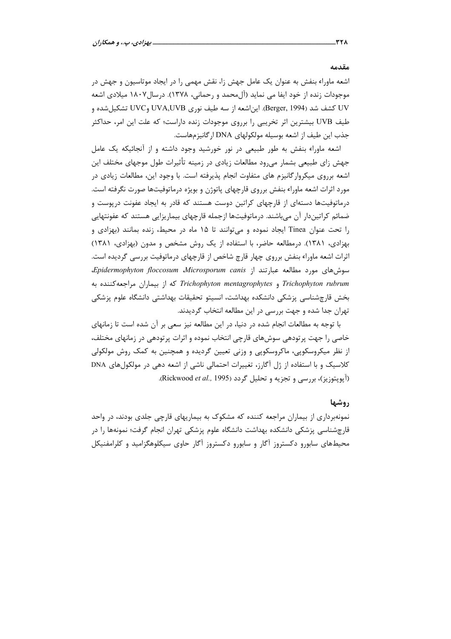#### مقدمه

اشعه ماوراء بنفش به عنوان یک عامل جهش زا، نقش مهمی را در ایجاد موتاسیون و جهش در موجودات زنده از خود ایفا می نماید (آل۱حمد و رحمانی، ۱۳۷۸). درسال۱۸۰۷ میلادی اشعه UV كشف شد (Berger, 1994). اين|شعه از سه طيف نوري UVA,UVB وUVC تشكيلشده و طیف UVB بیشترین اثر تخریبی را برروی موجودات زنده داراست؛ که علت این امر، حداکثر جذب این طیف از اشعه بوسیله مولکولهای DNA ارگانیزمهاست.

اشعه ماوراء بنفش به طور طبیعی در نور خورشید وجود داشته و از آنجائیکه یک عامل جهش زای طبیعی بشمار میرود مطالعات زیادی در زمینه تأثیرات طول موجهای مختلف این اشعه برروی میکروارگانیزم های متفاوت انجام پذیرفته است. با وجود این، مطالعات زیادی در مورد اثرات اشعه ماوراء بنفش برروي قارچهاي پاتوژن و بويژه درماتوفيتها صورت نگرفته است. درماتوفیتها دستهای از قارچهای کراتین دوست هستند که قادر به ایجاد عفونت دریوست و ضمائم کراتیندار آن میباشند. درماتوفیتها ازجمله قارچهای بیماریزایی هستند که عفونتهایی را تحت عنوان Tinea ایجاد نموده و میتوانند تا ۱۵ ماه در محیط، زنده بمانند (بهزادی و بهزادی، ۱۳۸۱). درمطالعه حاضر، با استفاده از یک روش مشخص و مدون (بهزادی، ۱۳۸۱) اثرات اشعه ماوراء بنفش برروی چهار قارچ شاخص از قارچهای درماتوفیت بررسی گردیده است. سوش های مورد مطالعه عبارتند از Epidermophyton floccosum Microsporum canis Trichophyton rubrum و Trichophyton mentagrophytes که از بیماران مراجعهکننده به بخش قارچشناسی پزشکی دانشکده بهداشت، انسیتو تحقیقات بهداشتی دانشگاه علوم پزشکی تهران جدا شده و جهت بررسی در این مطالعه انتخاب گردیدند.

با توجه به مطالعات انجام شده در دنیا، در این مطالعه نیز سعی بر آن شده است تا زمانهای خاصي را جهت پرتودهي سوش هاي قارچي انتخاب نموده و اثرات پرتودهي در زمانهاي مختلف، از نظر میکروسکوپی، ماکروسکوپی و وزنی تعیین گردیده و همچنین به کمک روش مولکولی کلاسیک و با استفاده از ژل آگارز، تغییرات احتمالی ناشی از اشعه دهی در مولکولهای DNA (آپوپتوزیز)، بررسی و تجزیه و تحلیل گردد (Rickwood et al., 1995).

## **روشیها**

نمونهبرداری از بیماران مراجعه کننده که مشکوک به بیماریهای قارچی جلدی بودند، در واحد قارچشناسی پزشکی دانشکده بهداشت دانشگاه علوم پزشکی تهران انجام گرفت؛ نمونهها را در محیطهای سابورو دکستروز آگار و سابورو دکستروز آگار حاوی سیکلوهگزامید و کلرامفنیکل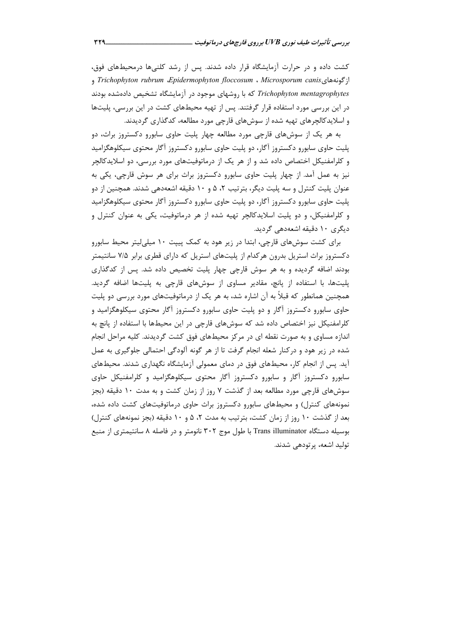کشت داده و در حرارت آزمایشگاه قرار داده شدند. پس از رشد کلنیها درمحیطهای فوق، ازگونههایTrichophyton rubrum ،Epidermophyton floccosum ، Microsporum canis و Trichophyton mentagrophytes که با روشهای موجود در آزمایشگاه تشخیص دادهشده بودند در این بررسی مورد استفاده قرار گرفتند. پس از تهیه محیطهای کشت در این بررسی، پلیتها و اسلایدکالچرهای تهیه شده از سوشهای قارچی مورد مطالعه، کدگذاری گردیدند.

به هر یک از سوشهای قارچی مورد مطالعه چهار پلیت حاوی سابورو دکستروز براث، دو پلیت حاوی سابورو دکستروز آگار، دو پلیت حاوی سابورو دکستروز آگار محتوی سیکلوهگزامید و کلرامفنیکل اختصاص داده شد و از هر یک از درماتوفیتهای مورد بررسی، دو اسلایدکالچر نیز به عمل آمد. از چهار پلیت حاوی سابورو دکستروز براث برای هر سوش قارچی، یکی به عنوان پلیت کنترل و سه پلیت دیگر، بترتیب ۲، ۵ و ۱۰ دقیقه اشعهدهی شدند. همچنین از دو پلیت حاوی سابورو دکستروز اگار، دو پلیت حاوی سابورو دکستروز اگار محتوی سیکلوهگزامید و کلرامفنیکل، و دو پلیت اسلایدکالچر تهیه شده از هر درماتوفیت، یکی به عنوان کنترل و دیگری ۱۰ دقیقه اشعهدهی گردید.

برای کشت سوشهای قارچی، ابتدا در زیر هود به کمک پیپت ۱۰ میلیلیتر محیط سابورو دکستروز براث استریل بدرون هرکدام از پلیتهای استریل که دارای قطری برابر ۷/۵ سانتیمتر بودند اضافه گردیده و به هر سوش قارچی چهار پلیت تخصیص داده شد. پس از کدگذاری پلیتها، با استفاده از پانچ، مقادیر مساوی از سوشهای قارچی به پلیتها اضافه گردید. همچنین همانطور که قبلاً به آن اشاره شد، به هر یک از درماتوفیتهای مورد بررسی دو پلیت حاوی سابورو دکستروز آگار و دو پلیت حاوی سابورو دکستروز آگار محتوی سیکلوهگزامید و كلرامفنيكل نيز اختصاص داده شد كه سوشهاى قارچى در اين محيطها با استفاده از پانچ به اندازه مساوی و به صورت نقطه ای در مرکز محیطهای فوق کشت گردیدند. کلیه مراحل انجام شده در زیر هود و درکنار شعله انجام گرفت تا از هر گونه آلودگی احتمالی جلوگیری به عمل آید. پس از انجام کار، محیطهای فوق در دمای معمولی آزمایشگاه نگهداری شدند. محیطهای سابورو دکستروز آگار و سابورو دکستروز آگار محتوی سیکلوهگزامید و کلرامفنیکل حاوی سوشهای قارچی مورد مطالعه بعد از گذشت ۷ روز از زمان کشت و به مدت ۱۰ دقیقه (بجز نمونههای کنترل) و محیطهای سابورو دکستروز براث حاوی درماتوفیتهای کشت داده شده، بعد از گذشت ١٠ روز از زمان كشت، بترتيب به مدت ٢، ۵ و ١٠ دقيقه (بجز نمونههاي كنترل) بوسیله دستگاه Trans illuminator با طول موج ۳۰۲ نانومتر و در فاصله ۸ سانتیمتری از منبع تولید اشعه، پر تودهی شدند.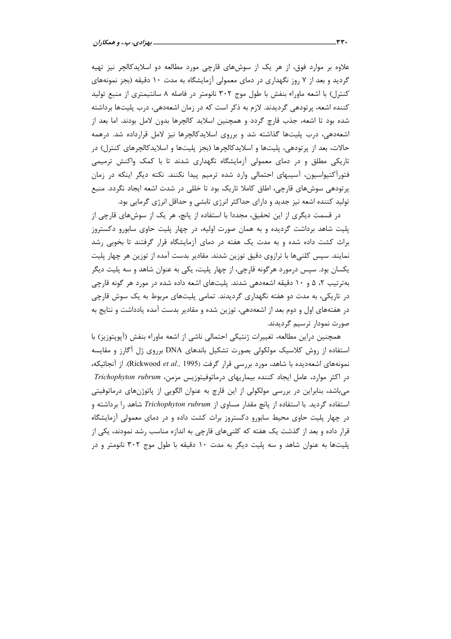علاوه بر موارد فوق، از هر یک از سوشهای قارچی مورد مطالعه دو اسلایدکالچر نیز تهیه گردید و بعد از ۷ روز نگهداری در دمای معمولی آزمایشگاه به مدت ۱۰ دقیقه (بجز نمونههای کنترل) با اشعه ماوراء بنفش با طول موج ۳۰۲ نانومتر در فاصله ۸ سانتیمتری از منبع تولید کننده اشعه، پرتودهی گردیدند. لازم به ذکر است که در زمان اشعهدهی، درب پلیتها برداشته شده بود تا اشعه، جذب قارچ گردد و همچنین اسلاید کالچرها بدون لامل بودند. اما بعد از اشعهدهی، درب پلیتها گذاشته شد و برروی اسلایدکالچرها نیز لامل قرارداده شد. درهمه حالات، بعد از پرتودهی، پلیتها و اسلایدکالچرها (بجز پلیتها و اسلایدکالچرهای کنترل) در تاریکی مطلق و در دمای معمولی آزمایشگاه نگهداری شدند تا با کمک واکنش ترمیمی فتورآکتیواسیون، آسیبهای احتمالی وارد شده ترمیم پیدا نکنند. نکته دیگر اینکه در زمان پرتودهی سوش های قارچی، اطاق کاملا تاریک بود تا خللی در شدت اشعه ایجاد نگردد. منبع تولید کننده اشعه نیز جدید و دارای حداکثر انرژی تابشی و حداقل انرژی گرمایی بود.

در قسمت دیگری از این تحقیق، مجددا با استفاده از پانچ، هر یک از سوشهای قارچی از پلیت شاهد برداشت گردیده و به همان صورت اولیه، در چهار پلیت حاوی سابورو دکستروز براث کشت داده شده و به مدت یک هفته در دمای آزمایشگاه قرار گرفتند تا بخوبی رشد نمایند. سپس کلنیها با ترازوی دقیق توزین شدند. مقادیر بدست آمده از توزین هر چهار پلیت یکسان بود. سپس درمورد هرگونه قارچی، از چهار پلیت، یکی به عنوان شاهد و سه پلیت دیگر بهترتیب ۲، ۵ و ۱۰ دقیقه اشعهدهی شدند. پلیتهای اشعه داده شده در مورد هر گونه قارچی در تاریکی، به مدت دو هفته نگهداری گردیدند. تمامی پلیتهای مربوط به یک سوش قارچی در هفتههای اول و دوم بعد از اشعهدهی، توزین شده و مقادیر بدست آمده یادداشت و نتایج به صورت نمودار ترسیم گردیدند.

همچنین دراین مطالعه، تغییرات ژنتیکی احتمالی ناشی از اشعه ماوراء بنفش (آپویتوزیز) با استفاده از روش کلاسیک مولکولی بصورت تشکیل باندهای DNA برروی ژل آگارز و مقایسه نمونههای اشعهدیده با شاهد، مورد بررسی قرار گرفت (Rickwood et al., 1995). از آنجائیکه، در اکثر موارد، عامل ایجاد کننده بیماریهای درماتوفیتوزیس مزمن، Trichophyton rubrum میباشد، بنابراین در بررسی مولکولی از این قارچ به عنوان الگویی از پاتوژنهای درماتوفیتی استفاده گردید. با استفاده از یانچ مقدار مساوی از Trichophyton rubrum شاهد را برداشته و در چهار پلیت حاوی محیط سابورو دکستروز براث کشت داده و در دمای معمولی آزمایشگاه قرار داده و بعد از گذشت یک هفته که کلنے های قارچی به اندازه مناسب رشد نمودند، یکی از یلیتها به عنوان شاهد و سه پلیت دیگر به مدت ۱۰ دقیقه با طول موج ۳۰۲ نانومتر و در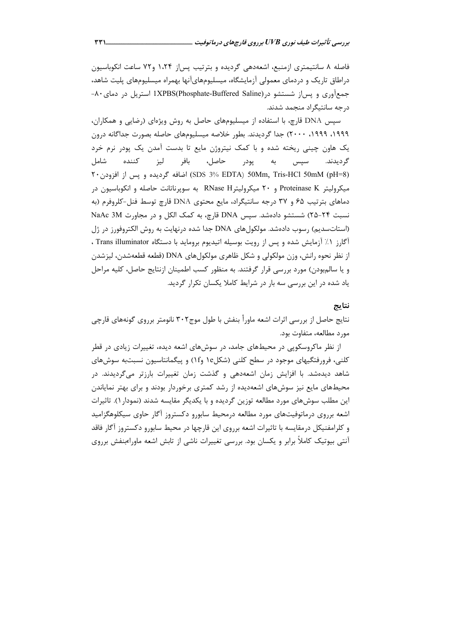فاصله ۸ سانتیمتری ازمنبع، اشعهدهی گردیده و بترتیب پس|ز ۱،۲۴ و۷۲ ساعت انکوباسیون دراطاق تاریک و دردمای معمولی آزمایشگاه، میسلیومهایآنها بهمراه میسلیومهای پلیت شاهد، جمع آوری و پس|ز شستشو در(IXPBS(Phosphate-Buffered Saline استریل در دمای۲۰-درجه سانتيگراد منجمد شدند.

سپس DNA قارچ، با استفاده از میسلیومهای حاصل به روش ویژهای (رضایی و همکاران، ۱۹۹۹، ۱۹۹۹، ۲۰۰۰) جدا گردیدند. بطور خلاصه میسلیومهای حاصله بصورت جداگانه درون یک هاون چینی ریخته شده و با کمک نیتروژن مایع تا بدست آمدن یک پودر نرم خرد گرديدند. سيس به يودر حاصل، بافر ليز كننده شامل (SDS 3% EDTA) 50Mm, Tris-HCl 50mM (pH=8) اضافه گردیده و پس از افزودن ۲۰ میکرولیتر Proteinase K و ۲۰ میکرولیتر RNase H به سویرناتانت حاصله و انکوباسیون در دماهای بترتیب ۶۵ و ۳۷ درجه سانتیگراد، مایع محتوی DNA قارچ توسط فنل-کلروفرم (به نسبت ٢۴-٢۵) شستشو دادهشد. سپس DNA قارچ، به کمک الکل و در مجاورت NaAc 3M (استاتسدیم) رسوب دادهشد. مولکول های DNA جدا شده درنهایت به روش الکتروفورز در ژل آگارز ۱٪ آزمایش شده و پس از رویت بوسیله اتیدیوم بروماید با دستگاه Trans illuminator ، از نظر نحوه رانش، وزن مولکولی و شکل ظاهری مولکولهای DNA (قطعه قطعهشدن، لیزشدن و یا سالمبودن) مورد بررسی قرار گرفتند. به منظور کسب اطمینان ازنتایج حاصل، کلیه مراحل یاد شده در این بررسی سه بار در شرایط کاملا یکسان تکرار گردید.

### نتايج

نتايج حاصل از بررسي اثرات اشعه ماورأ بنفش با طول موج٣٠٢ نانومتر برروي گونههاي قارچي مورد مطالعه، متفاوت بود.

از نظر ماکروسکویی در محیطهای جامد، در سوشهای اشعه دیده، تغییرات زیادی در قطر کلنی، فرورفتگیهای موجود در سطح کلنی (شکل۱e و۱۴) و پیگمانتاسیون نسبتبه سوشهای شاهد دیدهشد. با افزایش زمان اشعهدهی و گذشت زمان تغییرات بارزتر میگردیدند. در محیطهای مایع نیز سوشهای اشعهدیده از رشد کمتری برخوردار بودند و برای بهتر نمایاندن این مطلب سوشهای مورد مطالعه توزین گردیده و با یکدیگر مقایسه شدند (نمودار ۱). تاثیرات اشعه برروی درماتوفیتهای مورد مطالعه درمحیط سابورو دکستروز آگار حاوی سیکلوهگزامید و کلرامفنیکل درمقایسه با تاثیرات اشعه برروی این قارچها در محیط سابورو دکستروز آگار فاقد آنتی بیوتیک کاملاً برابر و یکسان بود. بررسی تغییرات ناشی از تابش اشعه ماوراءبنفش برروی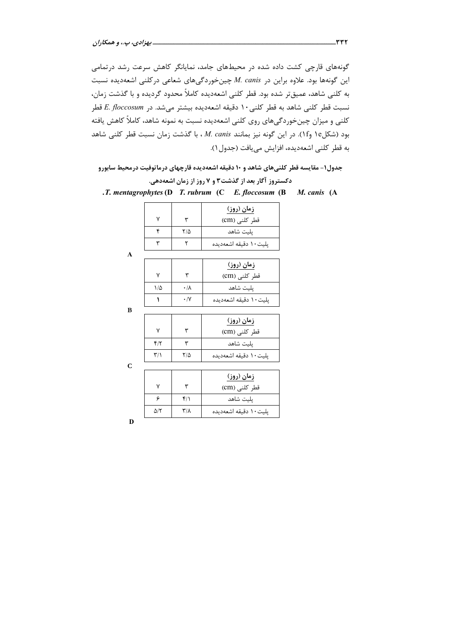گونههای قارچی کشت داده شده در محیطهای جامد، نمایانگر کاهش سرعت رشد درتمامی این گونهها بود. علاوه براین در M. canis چینخوردگیهای شعاعی درکلنی اشعهدیده نسبت به کلنی شاهد، عمیقتر شده بود. قطر کلنی اشعهدیده کاملاً محدود گردیده و با گذشت زمان، نسبت قطر كلنى شاهد به قطر كلنى ١٠ دقيقه اشعهديده بيشتر مى شد. در E. floccosum قطر کلنی و میزان چینخوردگیهای روی کلنی اشعهدیده نسبت به نمونه شاهد، کاملاً کاهش یافته بود (شكل١e) و١٤). در اين گونه نيز بمانند M. canis ، با گذشت زمان نسبت قطر كلني شاهد به قطر كلني اشعهديده، افزايش مييافت (جدول ١).

جدول١- مقايسه قطر كلنيهاي شاهد و ١٠ دقيقه اشعهديده قارچهاي درماتوفيت درمحيط سابورو دکستروز آگار بعد از گذشت۳ و ۷ روز از زمان اشعهدهی.

.T. mentagrophytes (D T. rubrum (C E. floccosum (B M. canis (A

|              |                         |                         | زمان (روز)             |
|--------------|-------------------------|-------------------------|------------------------|
|              | ٧                       | ٣                       | قطر كلنى (CM)          |
|              | ۴                       | $7/\Delta$              | يليت شاهد              |
|              | ٣                       | ٢                       | يليت ١٠ دقيقه اشعهديده |
| $\mathbf{A}$ |                         |                         |                        |
|              |                         |                         | زمان (روز)             |
|              | ٧                       | ٣                       | قطر كلنى (CM)          |
|              | $1/\Delta$              | $\cdot/\lambda$         | يليت شاهد              |
|              | ١                       | $\cdot$ /Y              | يليت ١٠ دقيقه اشعهديده |
| B            |                         |                         |                        |
|              |                         |                         | زمان (روز)             |
|              | ٧                       | ٣                       | قطر كلنى (CM)          |
|              | $f/\tau$                | ٣                       | يليت شاهد              |
|              | $\mathbf{r}/\mathbf{r}$ | $Y/\Delta$              | يليت ١٠ دقيقه اشعهديده |
| C            |                         |                         |                        |
|              |                         |                         | <u>زمان (روز)</u>      |
|              | ٧                       | ٣                       | قطر كلنى (CM)          |
|              | ۶                       | $f/\lambda$             | يليت شاهد              |
|              | $\Delta/\Upsilon$       | $\mathbf{r}/\mathbf{r}$ | يليت ١٠ دقيقه اشعهديده |
| D            |                         |                         |                        |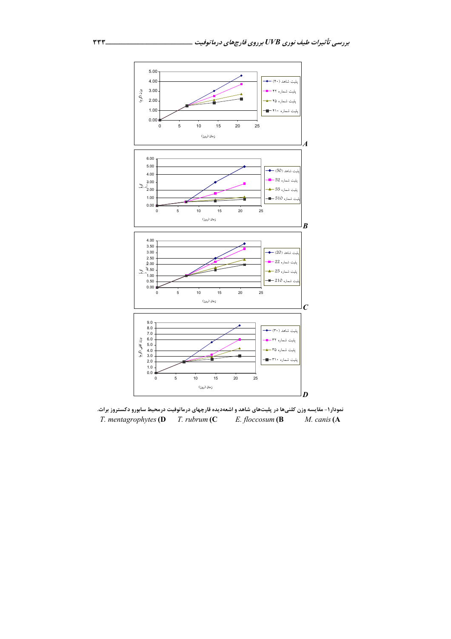

نمودار۱- مقایسه وزن کلنیها در پلیتهای شاهد و اشعهدیده قارچهای درماتوفیت درمحیط سابورو دکستروز براث.  $T.$  mentagrophytes  $(D \t T.$  rubrum  $(C \t T.$ E. floccosum (B M. canis (A

 $rrr$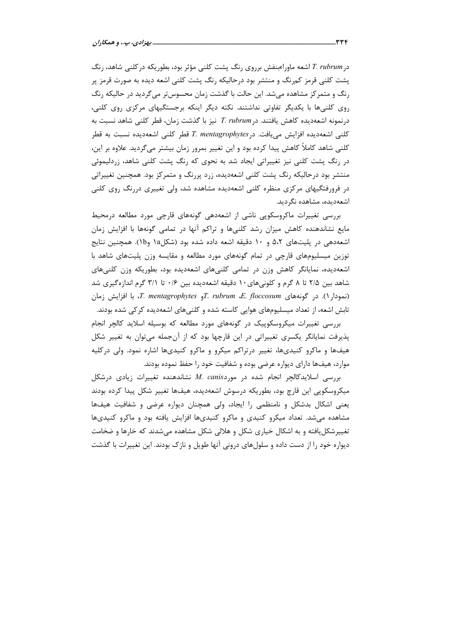در T. rubrum اشعه ماوراءبنفش برروی رنگ یشت کلنی مؤثر بود، بطوریکه در کلنی شاهد، رنگ پشت کلنی قرمز کمرنگ و منتشر بود درحالیکه رنگ پشت کلنی اشعه دیده به صورت قرمز پر رنگ و متمرکز مشاهده میشد. این حالت با گذشت زمان محسوس تر می گردید در حالیکه رنگ روی کلنیها با یکدیگر تفاوتی نداشتند. نکته دیگر اینکه برجستگیهای مرکزی روی کلنی، درنمونه اشعهدیده کاهش یافتند. در T. rubrum نیز با گذشت زمان، قطر کلنی شاهد نسبت به كلني اشعهديده افزايش مى يافت. در T. mentagrophytes قطر كلني اشعهديده نسبت به قطر کلنی شاهد کاملاً کاهش پیدا کرده بود و این تغییر بمرور زمان بیشتر میگردید. علاوه بر این، در رنگ پشت کلنی نیز تغییراتی ایجاد شد به نحوی که رنگ پشت کلنی شاهد، زردلیموئی منتشر بود درحالیکه رنگ پشت کلنی اشعهدیده، زرد پررنگ و متمرکز بود. همچنین تغییراتی در فرورفتگیهای مرکزی منظره کلنی اشعهدیده مشاهده شد، ولی تغییری دررنگ روی کلنی اشعەديدە، مشاھدە نگرديد.

بررسی تغییرات ماکروسکوپی ناشی از اشعهدهی گونههای قارچی مورد مطالعه درمحیط مایع نشاندهنده کاهش میزان رشد کلنیها و تراکم آنها در تمامی گونهها با افزایش زمان اشعهدهی در پلیتهای ۵،۲ و ۱۰ دقیقه اشعه داده شده بود (شکل۱۵ وlb). همچنین نتایج توزین میسلیومهای قارچی در تمام گونههای مورد مطالعه و مقایسه وزن پلیتهای شاهد با اشعه دیده، نمایانگر کاهش وزن در تمامی کلنیهای اشعه دیده بود، بطوریکه وزن کلنیهای شاهد بین ۲/۵ تا ۸ گرم و کلونیهای ۱۰ دقیقه اشعهدیده بین ۰/۶ تا ۳/۱ گرم اندازهگیری شد (نمودار ۱). در گونههای T. rubrum ،E. floccosum، آو T. mentagrophytes، با افزایش زمان تابش اشعه، از تعداد میسلیومهای هوایی کاسته شده و کلنیهای اشعهدیده کرکی شده بودند.

بررسی تغییرات میکروسکوپیک در گونههای مورد مطالعه که بوسیله اسلاید کالچر انجام پذیرفت نمایانگر یکسری تغییراتی در این قارچها بود که از آنجمله میتوان به تغییر شکل هیفها و ماکرو کنیدیها، تغییر درتراکم میکرو و ماکرو کنیدیها اشاره نمود. ولی درکلیه موارد، هیفها دارای دیواره عرضی بوده و شفافیت خود را حفظ نموده بودند.

بررسی اسلایدکالچر انجام شده در مورد*k. canis بیرات* زیادی درشکل میکروسکوپی این قارچ بود، بطوریکه درسوش اشعهدیده، هیفها تغییر شکل پیدا کرده بودند یعنی اشکال بدشکل و نامنظمی را ایجاد، ولی همچنان دیواره عرضی و شفافیت هیفها مشاهده میشد. تعداد میکرو کنیدی و ماکرو کنیدیها افزایش یافته بود و ماکرو کنیدیها تغییرشکل یافته و به اشکال خیاری شکل و هلالی شکل مشاهده می شدند که خارها و ضخامت دیواره خود را از دست داده و سلولهای درونی آنها طویل و نازک بودند. این تغییرات با گذشت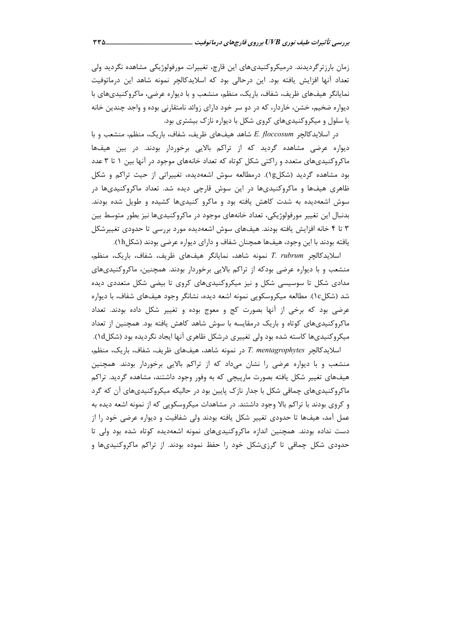زمان بارزتر گردیدند. درمیکروکنیدیهای این قارچ، تغییرات مورفولوژیکی مشاهده نگردید ولی تعداد آنها افزایش یافته بود. این درحالی بود که اسلایدکالچر نمونه شاهد این درماتوفیت نمایانگر هیفهای ظریف، شفاف، باریک، منظم، منشعب و با دیواره عرضی، ماکروکنیدیهای با دیواره ضخیم، خشن، خاردار، که در دو سر خود دارای زوائد نامتقارنی بوده و واجد چندین خانه یا سلول و میکروکنیدیهای کروی شکل با دیواره نازک بیشتری بود.

در اسلایدکالچر E. floccosum شاهد هیفهای ظریف، شفاف، باریک، منظم، منشعب و با دیواره عرضی مشاهده گردید که از تراکم بالایی برخوردار بودند. در بین هیفها ماکروکنیدیهای متعدد و راکتی شکل کوتاه که تعداد خانههای موجود در آنها بین ۱ تا ۳ عدد بود مشاهده گردید (شکل1g). درمطالعه سوش اشعهدیده، تغییراتی از حیث تراکم و شکل ظاهری هیفها و ماکروکنیدیها در این سوش قارچی دیده شد. تعداد ماکروکنیدیها در سوش اشعهدیده به شدت کاهش یافته بود و ماکرو کنیدیها کشیده و طویل شده بودند. بدنبال این تغییر مورفولوژیکی، تعداد خانههای موجود در ماکروکنیدیها نیز بطور متوسط بین ۳ تا ۴ خانه افزایش یافته بودند. هیفهای سوش اشعهدیده مورد بررسی تا حدودی تغییرشکل یافته بودند با این وجود، هیفها همچنان شفاف و دارای دیواره عرضی بودند (شکل۱۱).

اسلایدکالچر T. rubrum نمونه شاهد، نمایانگر هیفهای ظریف، شفاف، باریک، منظم، منشعب و با دیواره عرضی بودکه از تراکم بالایی برخوردار بودند. همچنین، ماکروکنیدیهای مدادی شکل تا سوسیسی شکل و نیز میکروکنیدیهای کروی تا بیضی شکل متعددی دیده شد (شکل۱c). مطالعه میکروسکوپی نمونه اشعه دیده، نشانگر وجود هیفهای شفاف، با دیواره عرضی بود که برخی از آنها بصورت کج و معوج بوده و تغییر شکل داده بودند. تعداد ماکروکنیدیهای کوتاه و باریک درمقایسه با سوش شاهد کاهش یافته بود. همچنین از تعداد میکروکنیدیها کاسته شده بود ولی تغییری درشکل ظاهری آنها ایجاد نگردیده بود (شکل1d).

اسلایدکالچر T. mentagrophytes در نمونه شاهد، هیفهای ظریف، شفاف، باریک، منظم، منشعب و با دیواره عرضی را نشان میداد که از تراکم بالایی برخوردار بودند. همچنین هیفهای تغییر شکل یافته بصورت مارییچی که به وفور وجود داشتند، مشاهده گردید. تراکم ماکروکنیدیهای چماقی شکل با جدار نازک پایین بود در حالیکه میکروکنیدیهای آن که گرد و کروی بودند با تراکم بالا وجود داشتند. در مشاهدات میکروسکوپی که از نمونه اشعه دیده به عمل آمد، هیفها تا حدودی تغییر شکل یافته بودند ولی شفافیت و دیواره عرضی خود را از دست نداده بودند. همچنین اندازه ماکروکنیدیهای نمونه اشعهدیده کوتاه شده بود ولی تا حدودی شکل چماقی تا گرزیشکل خود را حفظ نموده بودند. از تراکم ماکروکنیدیها و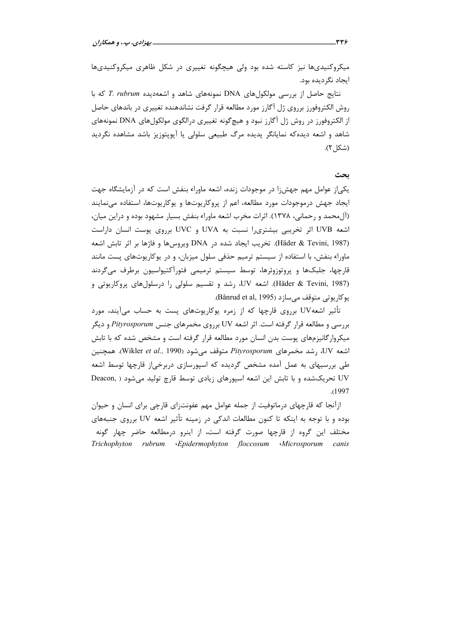میکروکنیدیها نیز کاسته شده بود ولی هیچگونه تغییری در شکل ظاهری میکروکنیدیها ايجاد نگرديده بود.

نتايج حاصل از بررسى مولكول هاى DNA نمونههاى شاهد و اشعهديده T. rubrum كه با روش الکتروفورز برروی ژل آگارز مورد مطالعه قرار گرفت نشاندهنده تغییری در باندهای حاصل از الکتروفورز در روش ژل آگارز نبود و هیچگونه تغییری درالگوی مولکول های DNA نمونههای شاهد و اشعه دیده که نمایانگر پدیده مرگ طبیعی سلولی یا آپوپتوزیز باشد مشاهده نگردید (شكل ٢).

### بحث

یکی|ز عوامل مهم جهش;ا در موجودات زنده، اشعه ماوراء بنفش است که در آزمایشگاه جهت ایجاد جهش درموجودات مورد مطالعه، اعم از پروکارپوتها و پوکارپوتها، استفاده میiمایند (آلمحمد و رحمانی، ۱۳۷۸). اثرات مخرب اشعه ماوراء بنفش بسیار مشهود بوده و دراین میان، اشعه UVB اثر تخريبي بيشترى ا نسبت به UVA و UVC برروى پوست انسان داراست (Häder & Tevini, 1987). تخريب ايجاد شده در DNA ويروسها و فاژها بر اثر تابش اشعه ماوراء بنفش، با استفاده از سیستم ترمیم حذفی سلول میزبان، و در یوکاریوتهای پست مانند قارچها، جلبکها و پروتوزوئرها، توسط سیستم ترمیمی فتورآکتیواسیون برطرف میگردند (Häder & Tevini, 1987). اشعه UV، رشد و تقسیم سلولی را درسلولهای پروکاریوتی و یو کاریوتی متوقف مے سازد (Bånrud et al, 1995).

تأثیر اشعهUV برروی قارچها که از زمره یوکاریوتهای پست به حساب میآیند، مورد بررسی و مطالعه قرار گرفته است. اثر اشعه UV برروی مخمرهای جنس Pityrosporum و دیگر میکروارگانیزمهای یوست بدن انسان مورد مطالعه قرار گرفته است و مشخص شده که با تابش اشعه UV، رشد مخمرهای Pityrosporum متوقف میشود (Wikler *et al.*, 1990). همچنین طی بررسیهای به عمل آمده مشخص گردیده که اسپورسازی دربرخیاز قارچها توسط اشعه UV تحریکشده و با تابش این اشعه اسپورهای زیادی توسط قارچ تولید میشود ( Deacon,  $.1997$ 

ازآنجا که قارچهای درماتوفیت از جمله عوامل مهم عفونتزای قارچی برای انسان و حیوان بوده و با توجه به اینکه تا کنون مطالعات اندکی در زمینه تأثیر اشعه UV برروی جنبههای مختلف این گروه از قارچها صورت گرفته است، از اینرو درمطالعه حاضر چهار گونه Trichophyton rubrum · Epidermophyton floccosum · Microsporum canis

334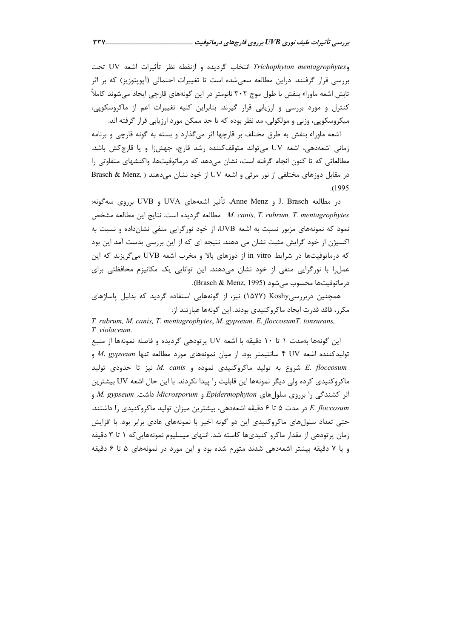و Trichophyton mentagrophytes انتخاب گردیده و ازنقطه نظر تأثیرات اشعه UV تحت بررسی قرار گرفتند. دراین مطالعه سعیشده است تا تغییرات احتمالی (آپویتوزیز) که بر اثر تابش اشعه ماوراء بنفش با طول موج ۳۰۲ نانومتر در این گونههای قارچی ایجاد میشوند کاملاً کنترل و مورد بررسی و ارزیابی قرار گیرند. بنابراین کلیه تغییرات اعم از ماکروسکوپی، میکروسکویی، وزنی و مولکولی، مد نظر بوده که تا حد ممکن مورد ارزیابی قرار گرفته اند.

اشعه ماوراء بنفش به طرق مختلف بر قارچها اثر میگذارد و بسته به گونه قارچی و برنامه زمانی اشعهدهی، اشعه UV می تواند متوقف کننده رشد قارچ، جهش;ا و یا قارچ کش باشد. مطالعاتی که تا کنون انجام گرفته است، نشان می۵هد که درماتوفیتها، واکنشهای متفاوتی را در مقابل دوزهای مختلفی از نور مرئی و اشعه UV از خود نشان میدهند ( Brasch & Menz,  $.1995$ 

در مطالعه J. Brasch و Anne Menz، تأثير اشعههاي UVA و UVB برروي سهگونه: M. canis, T. rubrum, T. mentagrophytes مطالعه گردیده است. نتایج این مطالعه مشخص نمود که نمونههای مزبور نسبت به اشعه UVB، از خود نورگرایی منفی نشانداده و نسبت به اکسیژن از خود گرایش مثبت نشان می دهند. نتیجه ای که از این بررسی بدست آمد این بود که درماتوفیتها در شرایط in vitro از دوزهای بالا و مخرب اشعه UVB می5ریزند که این عمل را با نورگرایی منفی از خود نشان میدهند. این توانایی یک مکانیزم محافظتی برای درماتوفيتها محسوب مي شود (Brasch & Menz, 1995).

همچنین دربررسیKoshy (۱۵۷۷) نیز، از گونههایی استفاده گردید که بدلیل پاساژهای مکرر، فاقد قدرت ایجاد ماکروکنیدی بودند. این گونهها عبارتند از:

T. rubrum, M. canis, T. mentagrophytes, M. gypseum, E. floccosumT. tonsurans, T. violaceum. این گونهها بهمدت ١ تا ١٠ دقیقه با اشعه UV پرتودهی گردیده و فاصله نمونهها از منبع تولیدکننده اشعه UV ۴ سانتیمتر بود. از میان نمونههای مورد مطالعه تنها M. gypseum و شروع به تولید ماکروکنیدی نموده و M. canis نیز تا حدودی تولید E. floccosum ماکروکنیدی کرده ولی دیگر نمونهها این قابلیت را پیدا نکردند. با این حال اشعه UV بیشترین اثر کشندگی را برروی سلولهای Epidermophyton و Microsporum داشت. M. gypseum و E. floccosum در مدت ۵ تا ۶ دقیقه اشعهدهی، بیشترین میزان تولید ماکروکنیدی را داشتند. حتی تعداد سلولهای ماکروکنیدی این دو گونه اخیر با نمونههای عادی برابر بود. با افزایش زمان پرتودهی از مقدار ماکرو کنیدیها کاسته شد. انتهای میسلیوم نمونههایی که ۱ تا ۳ دقیقه و یا ۷ دقیقه بیشتر اشعهدهی شدند متورم شده بود و این مورد در نمونههای ۵ تا ۶ دقیقه

 $rrv$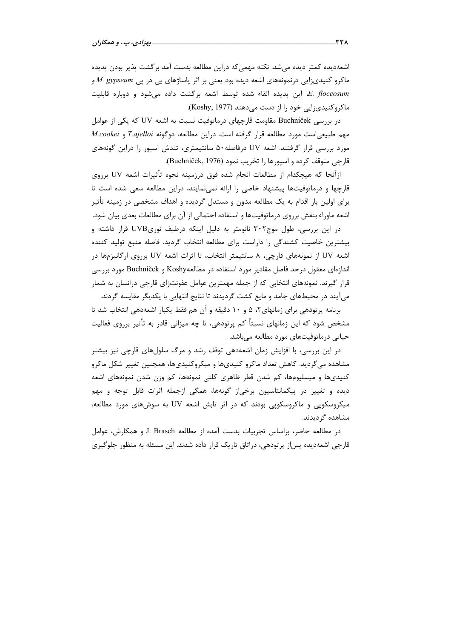اشعهدیده کمتر دیده می شد. نکته مهمی که دراین مطالعه بدست آمد بر گشت پذیر بودن پدیده ماکرو کنیدیزایی درنمونههای اشعه دیده بود یعنی بر اثر پاساژهای پی در پی M. gypseum و E. floccosum این پدیده القاء شده توسط اشعه برگشت داده میشود و دوباره قابلیت ماکروکنیدیزایی خود را از دست میدهند (Koshy, 1977).

در بررسی Buchníček مقاومت قارچهای درماتوفیت نسبت به اشعه UV که یکی از عوامل مهم طبيعي|ست مورد مطالعه قرار گرفته است. دراين مطالعه، دوگونه T.ajelloi و M.cookei مورد بررسی قرار گرفتند. اشعه UV درفاصله۵۰ سانتیمتری، تندش اسپور را دراین گونههای قارچی متوقف کرده و اسپورها را تخریب نمود (Buchniček, 1976).

ازآنجا که هیچکدام از مطالعات انجام شده فوق درزمینه نحوه تأثیرات اشعه UV برروی قارچها و درماتوفیتها پیشنهاد خاصی را ارائه نمی نمایند، دراین مطالعه سعی شده است تا برای اولین بار اقدام به یک مطالعه مدون و مستدل گردیده و اهداف مشخصی در زمینه تأثیر اشعه ماوراء بنفش برروی درماتوفیتها و استفاده احتمالی از آن برای مطالعات بعدی بیان شود.

در این بررسی، طول موج ۳۰۲ نانومتر به دلیل اینکه درطیف نوریUVB قرار داشته و بیشترین خاصیت کشندگی را داراست برای مطالعه انتخاب گردید. فاصله منبع تولید کننده اشعه UV از نمونههای قارچی، ۸ سانتیمتر انتخاب، تا اثرات اشعه UV برروی ارگانیزمها در اندازهای معقول درحد فاصل مقادیر مورد استفاده در مطالعهKoshy و Buchníček مورد بررسی قرار گیرند. نمونههای انتخابی که از جمله مهمترین عوامل عفونتزای قارچی درانسان به شمار میآیند در محیطهای جامد و مایع کشت گردیدند تا نتایج انتهایی با یکدیگر مقایسه گردند.

برنامه پرتودهی برای زمانهای ۲، ۵ و ۱۰ دقیقه و آن هم فقط یکبار اشعهدهی انتخاب شد تا مشخص شود که این زمانهای نسبتاً کم پرتودهی، تا چه میزانی قادر به تأثیر برروی فعالیت حیاتی درماتوفیتهای مورد مطالعه میباشد.

در این بررسی، با افزایش زمان اشعهدهی توقف رشد و مرگ سلولهای قارچی نیز بیشتر مشاهده میگردید. کاهش تعداد ماکرو کنیدیها و میکروکنیدیها، همچنین تغییر شکل ماکرو کنیدیها و میسلیومها، کم شدن قطر ظاهری کلنی نمونهها، کم وزن شدن نمونههای اشعه دیده و تغییر در پیگمانتاسیون برخیاز گونهها، همگی ازجمله اثرات قابل توجه و مهم میکروسکویی و ماکروسکویی بودند که در اثر تابش اشعه UV به سوشهای مورد مطالعه، مشاهده گردیدند.

در مطالعه حاضر، براساس تجربیات بدست آمده از مطالعه J. Brasch و همکارش، عوامل قارچی اشعهدیده پس|ز پرتودهی، دراتاق تاریک قرار داده شدند. این مسئله به منظور جلوگیری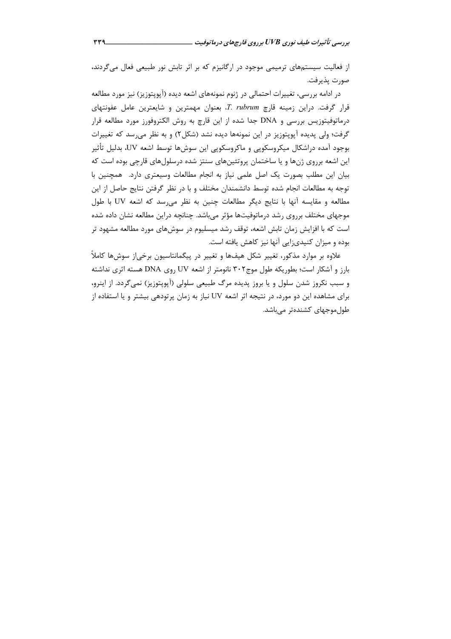از فعالیت سیستمهای ترمیمی موجود در ارگانیزم که بر اثر تابش نور طبیعی فعال می گردند، صورت پذيرفت.

در ادامه بررسی، تغییرات احتمالی در ژنوم نمونههای اشعه دیده (آپوپتوزیز) نیز مورد مطالعه قرار گرفت. دراین زمینه قارچ T. rubrum، بعنوان مهمترین و شایعترین عامل عفونتهای درماتوفیتوزیس بررسی و DNA جدا شده از این قارچ به روش الکتروفورز مورد مطالعه قرار گرفت؛ ولی پدیده آپوپتوزیز در این نمونهها دیده نشد (شکل۲) و به نظر میرسد که تغییرات بوجود آمده دراشکال میکروسکوپی و ماکروسکوپی این سوشها توسط اشعه UV، بدلیل تأثیر این اشعه برروی ژنها و یا ساختمان پروتئینهای سنتز شده درسلولهای قارچی بوده است که بیان این مطلب بصورت یک اصل علمی نیاز به انجام مطالعات وسیعتری دارد. همچنین با توجه به مطالعات انجام شده توسط دانشمندان مختلف و با در نظر گرفتن نتایج حاصل از این مطالعه و مقایسه آنها با نتایج دیگر مطالعات چنین به نظر میرسد که اشعه UV با طول موجهای مختلف برروی رشد درماتوفیتها مؤثر میباشد. چنانچه دراین مطالعه نشان داده شده است که با افزایش زمان تابش اشعه، توقف رشد میسلیوم در سوشهای مورد مطالعه مشهود تر بوده و میزان کنیدیزایی آنها نیز کاهش یافته است.

علاوه بر موارد مذکور، تغییر شکل هیفها و تغییر در پیگمانتاسیون برخی|ز سوشها کاملاً بارز و آشکار است؛ بطوریکه طول موج۳۰۲ نانومتر از اشعه UV روی DNA هسته اثری نداشته و سبب نکروز شدن سلول و یا بروز پدیده مرگ طبیعی سلولی (آپوپتوزیز) نمیگردد. از اینرو، برای مشاهده این دو مورد، در نتیجه اثر اشعه UV نیاز به زمان پرتودهی بیشتر و یا استفاده از طول موجهای کشنده تر می باشد.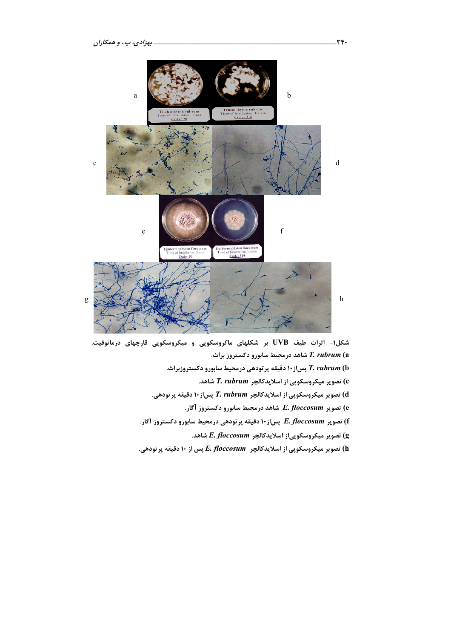

شکل۱- اثرات طیف UVB بر شکلهای ماکروسکوپی و میکروسکوپی قارچهای درماتوفیت. شاهد درمحیط سابورو دکستروز براث. T. rubrum (a

- 9 C)@.5D'-2;< K )O
	- ) تصویر میکروسکوپی از اسلایدکالچر T. rubrum شاهد.
- تصویر میکروسکوپی از اسلایدکالچر T. rubrum پس|ز۱۰ دقیقه پرتودهی.  ${\bf d}$ 
	- تصویر E. floccosum شاهد درمحیط سابورو دکستروز آگار.
- تصویر E. floccosum پس|ز ۱۰ دقیقه پر تودهی درمحیط سابورو دکستروز آگار.  $E.~floccosum$ 
	- تصوير ميكروسكوپي|ز اسلايدكالچر  $E.\,floccos$  شاهد.  ${\rm g}$
- تصویر میکروسکوپی از اسلایدکالچر  $E.\,floccosum$  پس از ۱۰ دقیقه پرتودهی.  ${\bf (h}$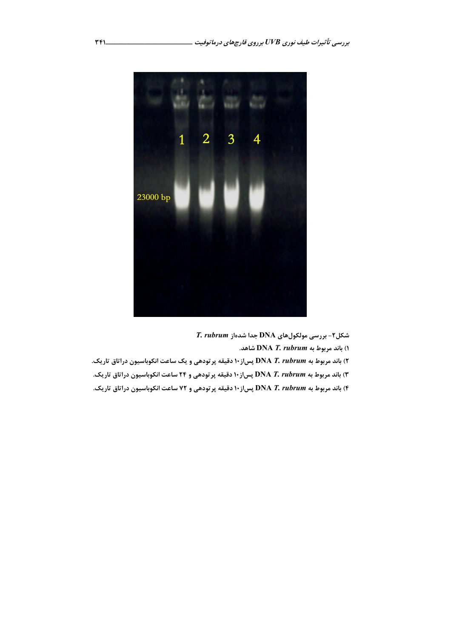

2 . m تكل ٢- بررسي مولكول هاي DNA جدا شدهاز

١) باند مربوط به DNA T. rubrum شاهد.

- ۲) باند مربوط به DNA *T. rubrum* پساز۱۰ دقیقه پرتودهی و یک ساعت انکوباسیون دراتاق تاریک.
- ۳) باند مربوط به DNA *T. rubrum* پس|ز۱۰ دقیقه پرتودهی و ۲۴ ساعت انکوباسیون دراتاق تاریک.
- ۴) باند مربوط به DNA *T. rubrum پ*ساز۱۰ دقیقه پرتودهی و ۷۲ ساعت انکوباسیون دراتاق تاریک.